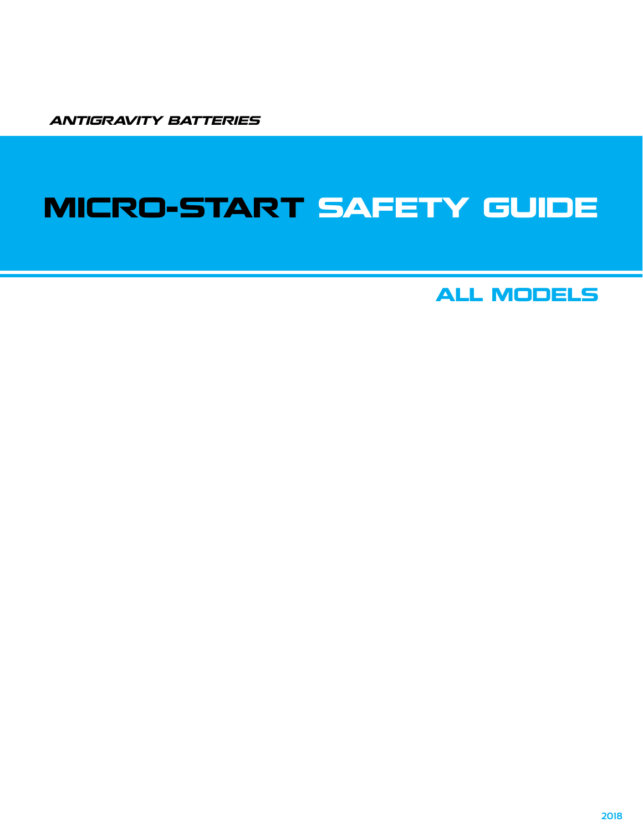ANTIGRAVITY BATTERIES

## MICRO-START SAFETY GUIDE

ALL MODELS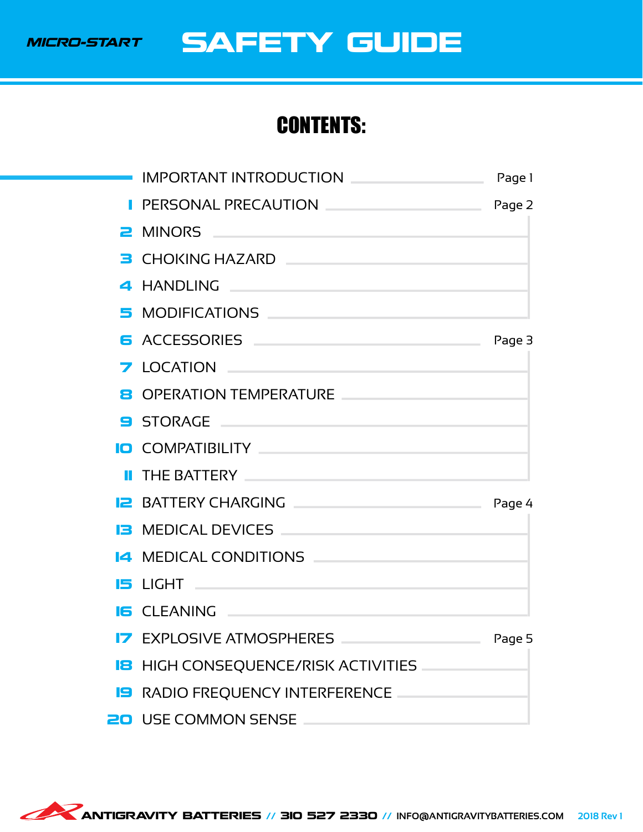

### SAFETY GUIDE

### CONTENTS:

| PERSONAL PRECAUTION PERSONAL PRECAUTION                                                                                                                                                                                                   |        |
|-------------------------------------------------------------------------------------------------------------------------------------------------------------------------------------------------------------------------------------------|--------|
|                                                                                                                                                                                                                                           |        |
| B CHOKING HAZARD <b>Express that the contract of the contract of the contract of the contract of the contract of the contract of the contract of the contract of the contract of the contract of the contract of the contract of</b>      |        |
| 4 HANDLING AND AND AND AND ACCOUNT OF THE CONTRACTOR                                                                                                                                                                                      |        |
| 5 MODIFICATIONS And the contract of the contract of the contract of the contract of the contract of the contract of the contract of the contract of the contract of the contract of the contract of the contract of the contra            |        |
| G ACCESSORIES Page 3                                                                                                                                                                                                                      |        |
| <b>7 LOCATION</b>                                                                                                                                                                                                                         |        |
| <b>B OPERATION TEMPERATURE EXAMPLE AND THE SERVICE SERVICE SERVICE SERVICE SERVICE SERVICE SERVICE SERVICE SERVICE SERVICE SERVICE SERVICE SERVICE SERVICE SERVICE SERVICE SERVICE SERVICE SERVICE SERVICE SERVICE SERVICE SER</b>        |        |
| STORAGE <b>And Account of the Contract of Contract Contract of Contract Oriental Contract Oriental Contract Oriental Contract Oriental Contract Oriental Contract Oriental Contract Oriental Contract Oriental Contract Oriental</b>      |        |
| <b>IO</b> COMPATIBILITY <b>ACCOMPATIBILITY</b>                                                                                                                                                                                            |        |
| <b>II</b> THE BATTERY <b>AND RESIDENT AND RESIDENCE</b>                                                                                                                                                                                   |        |
|                                                                                                                                                                                                                                           |        |
| <b>B</b> MEDICAL DEVICES <b>AND INSTALLANT IN THE SECOND SECOND SECOND SECOND SECOND SECOND SECOND SECOND SECOND SECOND SECOND SECOND SECOND SECOND SECOND SECOND SECOND SECOND SECOND SECOND SECOND SECOND SECOND SECOND SECOND SECO</b> |        |
| <b>14 MEDICAL CONDITIONS</b>                                                                                                                                                                                                              |        |
|                                                                                                                                                                                                                                           |        |
| <b>IS CLEANING AND RESIDENCE</b>                                                                                                                                                                                                          |        |
| <b>IZ EXPLOSIVE ATMOSPHERES</b>                                                                                                                                                                                                           | Page 5 |
| <b>B</b> HIGH CONSEQUENCE/RISK ACTIVITIES                                                                                                                                                                                                 |        |
| <b>IS RADIO FREQUENCY INTERFERENCE</b>                                                                                                                                                                                                    |        |
| <b>20</b> USE COMMON SENSE                                                                                                                                                                                                                |        |

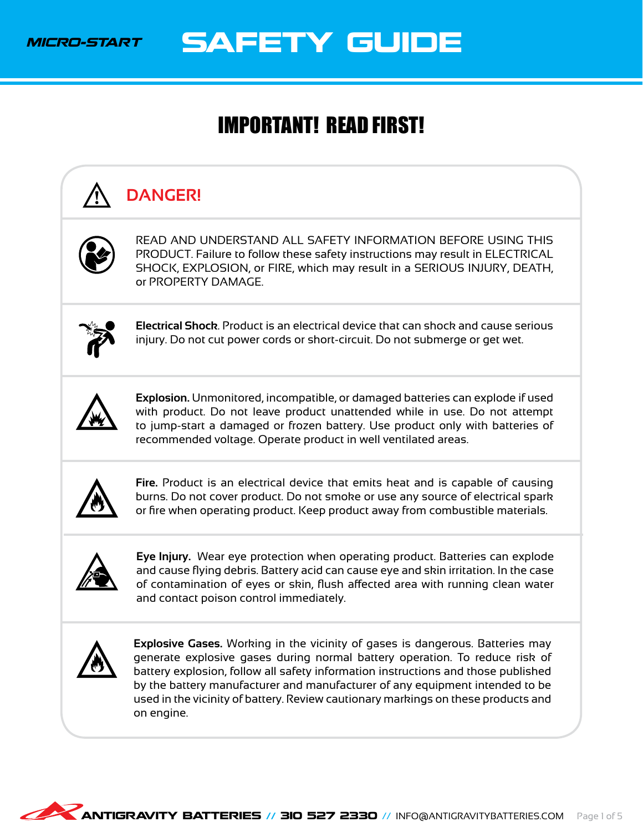

SAFETY GUIDE

### <span id="page-2-0"></span>IMPORTANT! READ FIRST!

# **DANGER!**



READ AND UNDERSTAND ALL SAFETY INFORMATION BEFORE USING THIS PRODUCT. Failure to follow these safety instructions may result in ELECTRICAL SHOCK, EXPLOSION, or FIRE, which may result in a SERIOUS INJURY, DEATH, or PROPERTY DAMAGE.



**Electrical Shock**. Product is an electrical device that can shock and cause serious injury. Do not cut power cords or short-circuit. Do not submerge or get wet.



**Explosion.** Unmonitored, incompatible, or damaged batteries can explode if used with product. Do not leave product unattended while in use. Do not attempt to jump-start a damaged or frozen battery. Use product only with batteries of recommended voltage. Operate product in well ventilated areas.



**Fire.** Product is an electrical device that emits heat and is capable of causing burns. Do not cover product. Do not smoke or use any source of electrical spark or fire when operating product. Keep product away from combustible materials.



**Eye Injury.** Wear eye protection when operating product. Batteries can explode and cause flying debris. Battery acid can cause eye and skin irritation. In the case of contamination of eyes or skin, flush affected area with running clean water and contact poison control immediately.



**Explosive Gases.** Working in the vicinity of gases is dangerous. Batteries may generate explosive gases during normal battery operation. To reduce risk of battery explosion, follow all safety information instructions and those published by the battery manufacturer and manufacturer of any equipment intended to be used in the vicinity of battery. Review cautionary markings on these products and on engine.

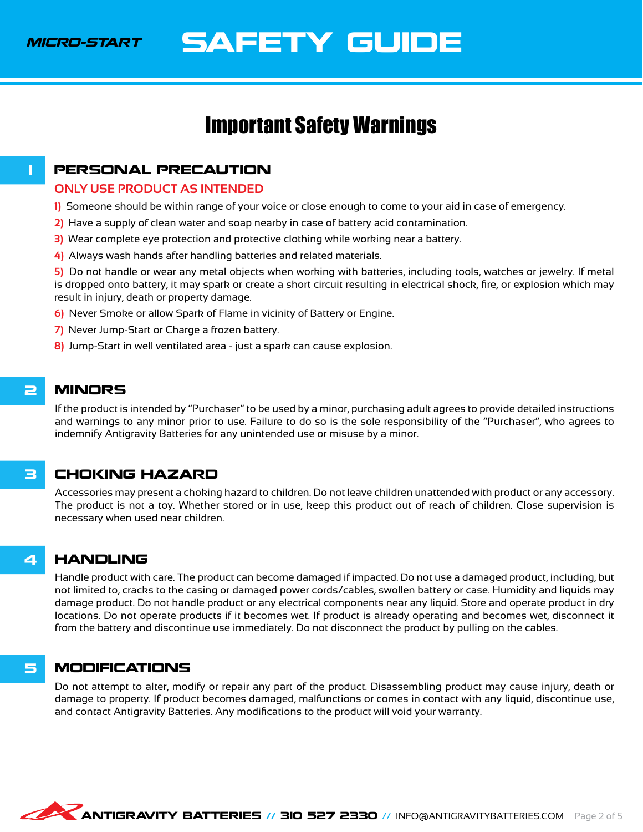MICRO-START

### SAFETY GUIDE

### <span id="page-3-3"></span>Important Safety Warnings

#### **1 PERSONAL PRECAUTION**

#### <span id="page-3-0"></span>**ONLY USE PRODUCT AS INTENDED**

- **1)** Someone should be within range of your voice or close enough to come to your aid in case of emergency.
- **2)** Have a supply of clean water and soap nearby in case of battery acid contamination.
- **3)** Wear complete eye protection and protective clothing while working near a battery.
- **4)** Always wash hands after handling batteries and related materials.

**5)** Do not handle or wear any metal objects when working with batteries, including tools, watches or jewelry. If metal is dropped onto battery, it may spark or create a short circuit resulting in electrical shock, fire, or explosion which may result in injury, death or property damage.

- **6)** Never Smoke or allow Spark of Flame in vicinity of Battery or Engine.
- **7)** Never Jump-Start or Charge a frozen battery.
- **8)** Jump-Start in well ventilated area just a spark can cause explosion.

#### 2 MINORS

<span id="page-3-1"></span>If the product is intended by "Purchaser" to be used by a minor, purchasing adult agrees to provide detailed instructions and warnings to any minor prior to use. Failure to do so is the sole responsibility of the "Purchaser", who agrees to indemnify Antigravity Batteries for any unintended use or misuse by a minor.

#### 3 CHOKING HAZARD

<span id="page-3-2"></span>Accessories may present a choking hazard to children. Do not leave children unattended with product or any accessory. The product is not a toy. Whether stored or in use, keep this product out of reach of children. Close supervision is necessary when used near children.

#### 4 HANDLING

<span id="page-3-4"></span>Handle product with care. The product can become damaged if impacted. Do not use a damaged product, including, but not limited to, cracks to the casing or damaged power cords/cables, swollen battery or case. Humidity and liquids may damage product. Do not handle product or any electrical components near any liquid. Store and operate product in dry locations. Do not operate products if it becomes wet. If product is already operating and becomes wet, disconnect it from the battery and discontinue use immediately. Do not disconnect the product by pulling on the cables.

#### 5 MODIFICATIONS

<span id="page-3-5"></span>Do not attempt to alter, modify or repair any part of the product. Disassembling product may cause injury, death or damage to property. If product becomes damaged, malfunctions or comes in contact with any liquid, discontinue use, and contact Antigravity Batteries. Any modifications to the product will void your warranty.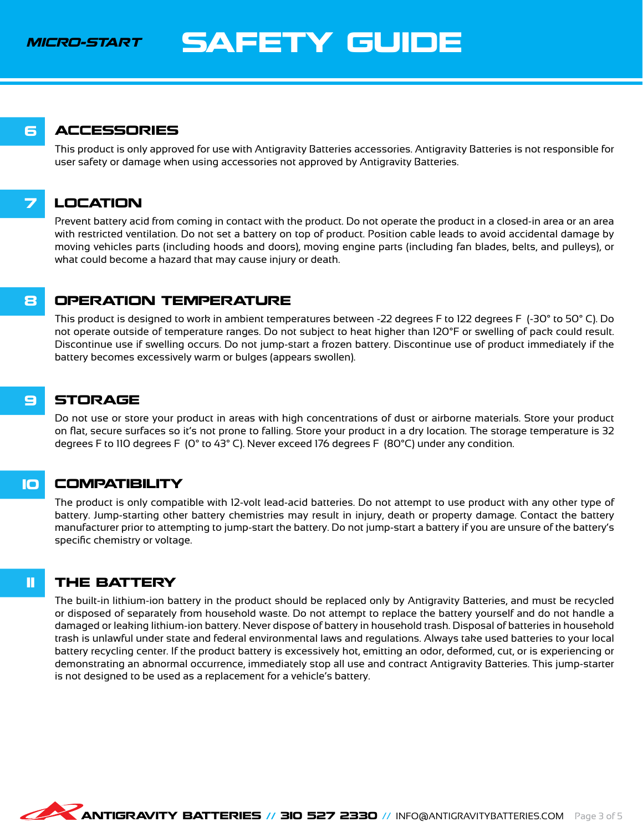MICRO-START

### SAFETY GUIDE

#### 6 ACCESSORIES

<span id="page-4-0"></span>This product is only approved for use with Antigravity Batteries accessories. Antigravity Batteries is not responsible for user safety or damage when using accessories not approved by Antigravity Batteries.

### 7 LOCATION

<span id="page-4-1"></span>Prevent battery acid from coming in contact with the product. Do not operate the product in a closed-in area or an area with restricted ventilation. Do not set a battery on top of product. Position cable leads to avoid accidental damage by moving vehicles parts (including hoods and doors), moving engine parts (including fan blades, belts, and pulleys), or what could become a hazard that may cause injury or death.

#### **8 OPERATION TEMPERATURE**

<span id="page-4-2"></span>This product is designed to work in ambient temperatures between -22 degrees F to 122 degrees F (-30° to 50° C). Do not operate outside of temperature ranges. Do not subject to heat higher than 120°F or swelling of pack could result. Discontinue use if swelling occurs. Do not jump-start a frozen battery. Discontinue use of product immediately if the battery becomes excessively warm or bulges (appears swollen).

#### 9 STORAGE

<span id="page-4-3"></span>Do not use or store your product in areas with high concentrations of dust or airborne materials. Store your product on flat, secure surfaces so it's not prone to falling. Store your product in a dry location. The storage temperature is 32 degrees F to 110 degrees F (0° to 43° C). Never exceed 176 degrees F (80°C) under any condition.

#### 10 COMPATIBILITY

<span id="page-4-4"></span>The product is only compatible with 12-volt lead-acid batteries. Do not attempt to use product with any other type of battery. Jump-starting other battery chemistries may result in injury, death or property damage. Contact the battery manufacturer prior to attempting to jump-start the battery. Do not jump-start a battery if you are unsure of the battery's specific chemistry or voltage.

#### **11 THE BATTERY**

<span id="page-4-5"></span>The built-in lithium-ion battery in the product should be replaced only by Antigravity Batteries, and must be recycled or disposed of separately from household waste. Do not attempt to replace the battery yourself and do not handle a damaged or leaking lithium-ion battery. Never dispose of battery in household trash. Disposal of batteries in household trash is unlawful under state and federal environmental laws and regulations. Always take used batteries to your local battery recycling center. If the product battery is excessively hot, emitting an odor, deformed, cut, or is experiencing or demonstrating an abnormal occurrence, immediately stop all use and contract Antigravity Batteries. This jump-starter is not designed to be used as a replacement for a vehicle's battery.

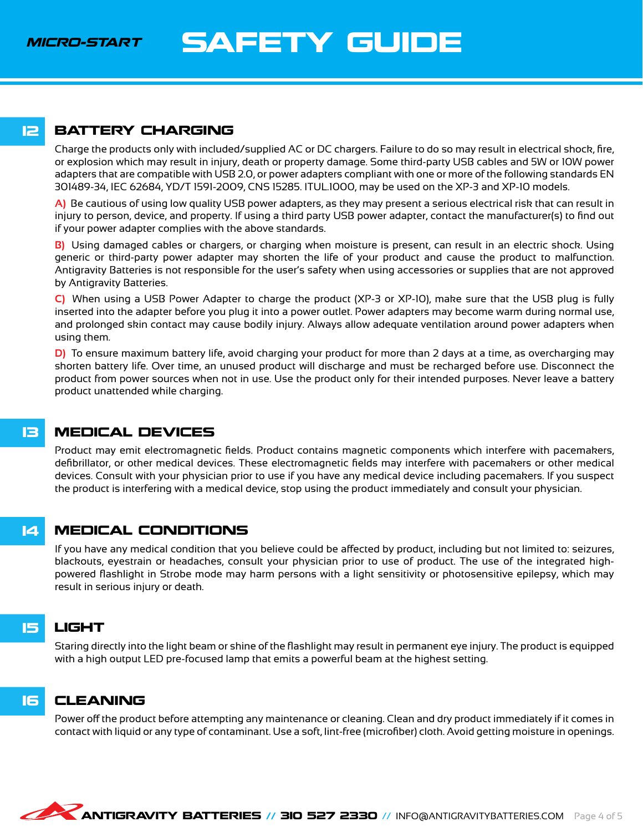MICRO-START

## SAFETY GUIDE

#### **12 BATTERY CHARGING**

<span id="page-5-0"></span>Charge the products only with included/supplied AC or DC chargers. Failure to do so may result in electrical shock, fire, or explosion which may result in injury, death or property damage. Some third-party USB cables and 5W or 10W power adapters that are compatible with USB 2.0, or power adapters compliant with one or more of the following standards EN 301489-34, IEC 62684, YD/T 1591-2009, CNS 15285. ITUL.1000, may be used on the XP-3 and XP-10 models.

**A)** Be cautious of using low quality USB power adapters, as they may present a serious electrical risk that can result in injury to person, device, and property. If using a third party USB power adapter, contact the manufacturer(s) to find out if your power adapter complies with the above standards.

**B)** Using damaged cables or chargers, or charging when moisture is present, can result in an electric shock. Using generic or third-party power adapter may shorten the life of your product and cause the product to malfunction. Antigravity Batteries is not responsible for the user's safety when using accessories or supplies that are not approved by Antigravity Batteries.

**C)** When using a USB Power Adapter to charge the product (XP-3 or XP-10), make sure that the USB plug is fully inserted into the adapter before you plug it into a power outlet. Power adapters may become warm during normal use, and prolonged skin contact may cause bodily injury. Always allow adequate ventilation around power adapters when using them.

**D)** To ensure maximum battery life, avoid charging your product for more than 2 days at a time, as overcharging may shorten battery life. Over time, an unused product will discharge and must be recharged before use. Disconnect the product from power sources when not in use. Use the product only for their intended purposes. Never leave a battery product unattended while charging.

#### 13 MEDICAL DEVICES

<span id="page-5-1"></span>Product may emit electromagnetic fields. Product contains magnetic components which interfere with pacemakers, defibrillator, or other medical devices. These electromagnetic fields may interfere with pacemakers or other medical devices. Consult with your physician prior to use if you have any medical device including pacemakers. If you suspect the product is interfering with a medical device, stop using the product immediately and consult your physician.

#### 14 MEDICAL CONDITIONS

<span id="page-5-2"></span>If you have any medical condition that you believe could be affected by product, including but not limited to: seizures, blackouts, eyestrain or headaches, consult your physician prior to use of product. The use of the integrated highpowered flashlight in Strobe mode may harm persons with a light sensitivity or photosensitive epilepsy, which may result in serious injury or death.

### 15 LIGHT

<span id="page-5-3"></span>Staring directly into the light beam or shine of the flashlight may result in permanent eye injury. The product is equipped with a high output LED pre-focused lamp that emits a powerful beam at the highest setting.

#### 16 CLEANING

<span id="page-5-4"></span>Power off the product before attempting any maintenance or cleaning. Clean and dry product immediately if it comes in contact with liquid or any type of contaminant. Use a soft, lint-free (microfiber) cloth. Avoid getting moisture in openings.